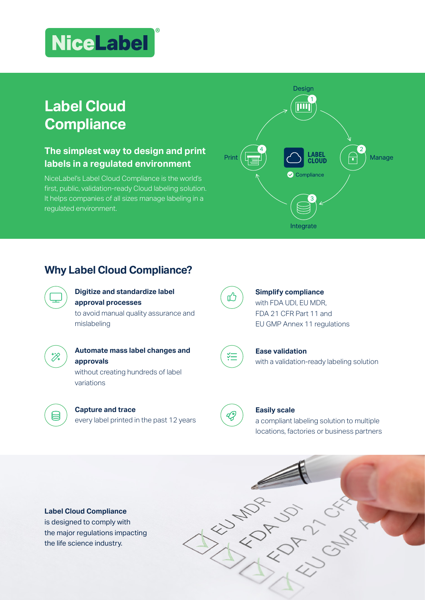# **NiceLabel**

## **Label Cloud Compliance**

## **The simplest way to design and print labels in a regulated environment**

NiceLabel's Label Cloud Compliance is the world's first, public, validation-ready Cloud labeling solution. It helps companies of all sizes manage labeling in a regulated environment.



## **Why Label Cloud Compliance?**



#### **Digitize and standardize label approval processes**

to avoid manual quality assurance and mislabeling

目

## **Automate mass label changes and approvals**

without creating hundreds of label variations

every label printed in the past 12 years

**Capture and trace**



狂

凹

## **Simplify compliance** with FDA UDI, EU MDR, FDA 21 CFR Part 11 and EU GMP Annex 11 regulations



**Ease validation**  with a validation-ready labeling solution



#### **Easily scale**

a compliant labeling solution to multiple locations, factories or business partners



the major regulations impacting the life science industry.